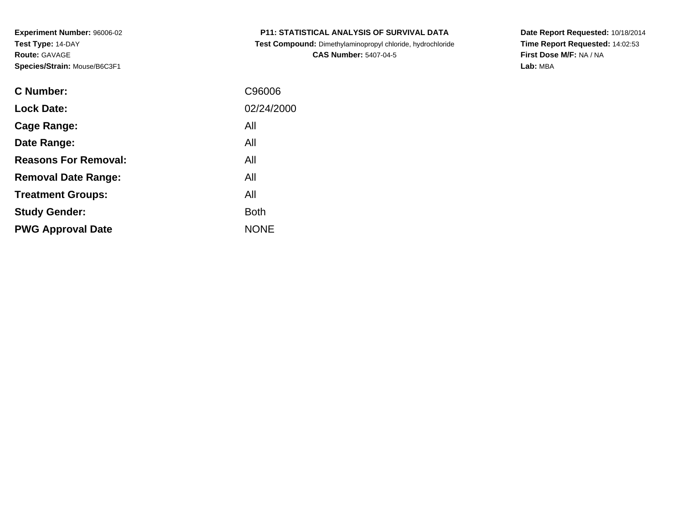| <b>P11: STATISTICAL ANALYSIS OF SURVIVAL DATA</b> |  |  |
|---------------------------------------------------|--|--|
|                                                   |  |  |

 **Test Compound:** Dimethylaminopropyl chloride, hydrochloride**CAS Number:** 5407-04-5

**Date Report Requested:** 10/18/2014 **Time Report Requested:** 14:02:53**First Dose M/F:** NA / NA**Lab:** MBA

| <b>C</b> Number:            | C96006      |
|-----------------------------|-------------|
| <b>Lock Date:</b>           | 02/24/2000  |
| Cage Range:                 | All         |
| Date Range:                 | All         |
| <b>Reasons For Removal:</b> | All         |
| <b>Removal Date Range:</b>  | All         |
| <b>Treatment Groups:</b>    | All         |
| <b>Study Gender:</b>        | <b>Both</b> |
| <b>PWG Approval Date</b>    | <b>NONE</b> |
|                             |             |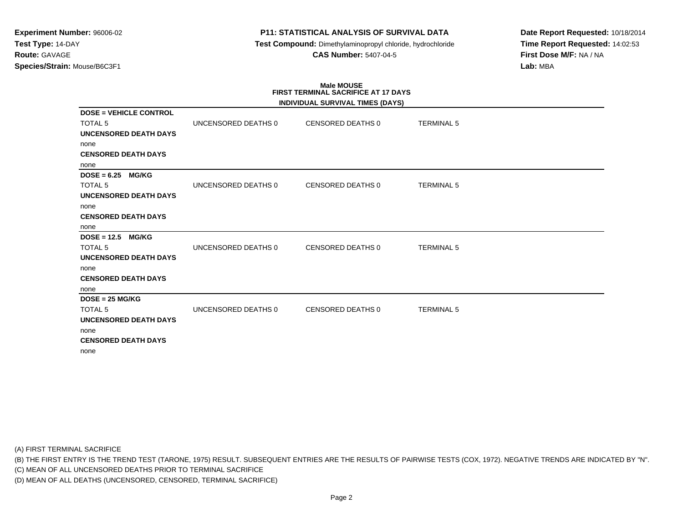## **P11: STATISTICAL ANALYSIS OF SURVIVAL DATA**

 **Test Compound:** Dimethylaminopropyl chloride, hydrochloride**CAS Number:** 5407-04-5

**Date Report Requested:** 10/18/2014**Time Report Requested:** 14:02:53**First Dose M/F:** NA / NA**Lab:** MBA

## **Male MOUSEFIRST TERMINAL SACRIFICE AT 17 DAYS**

|                               |                     | INDIVIDUAL SURVIVAL TIMES (DAYS) |                   |
|-------------------------------|---------------------|----------------------------------|-------------------|
| <b>DOSE = VEHICLE CONTROL</b> |                     |                                  |                   |
| <b>TOTAL 5</b>                | UNCENSORED DEATHS 0 | CENSORED DEATHS 0                | <b>TERMINAL 5</b> |
| <b>UNCENSORED DEATH DAYS</b>  |                     |                                  |                   |
| none                          |                     |                                  |                   |
| <b>CENSORED DEATH DAYS</b>    |                     |                                  |                   |
| none                          |                     |                                  |                   |
| $DOSE = 6.25$<br><b>MG/KG</b> |                     |                                  |                   |
| <b>TOTAL 5</b>                | UNCENSORED DEATHS 0 | CENSORED DEATHS 0                | <b>TERMINAL 5</b> |
| <b>UNCENSORED DEATH DAYS</b>  |                     |                                  |                   |
| none                          |                     |                                  |                   |
| <b>CENSORED DEATH DAYS</b>    |                     |                                  |                   |
| none                          |                     |                                  |                   |
| $DOSE = 12.5$<br><b>MG/KG</b> |                     |                                  |                   |
| <b>TOTAL 5</b>                | UNCENSORED DEATHS 0 | <b>CENSORED DEATHS 0</b>         | <b>TERMINAL 5</b> |
| <b>UNCENSORED DEATH DAYS</b>  |                     |                                  |                   |
| none                          |                     |                                  |                   |
| <b>CENSORED DEATH DAYS</b>    |                     |                                  |                   |
| none                          |                     |                                  |                   |
| $DOSE = 25 MG/KG$             |                     |                                  |                   |
| TOTAL <sub>5</sub>            | UNCENSORED DEATHS 0 | <b>CENSORED DEATHS 0</b>         | <b>TERMINAL 5</b> |
| <b>UNCENSORED DEATH DAYS</b>  |                     |                                  |                   |
| none                          |                     |                                  |                   |
| <b>CENSORED DEATH DAYS</b>    |                     |                                  |                   |
| none                          |                     |                                  |                   |

(A) FIRST TERMINAL SACRIFICE

(B) THE FIRST ENTRY IS THE TREND TEST (TARONE, 1975) RESULT. SUBSEQUENT ENTRIES ARE THE RESULTS OF PAIRWISE TESTS (COX, 1972). NEGATIVE TRENDS ARE INDICATED BY "N".

(C) MEAN OF ALL UNCENSORED DEATHS PRIOR TO TERMINAL SACRIFICE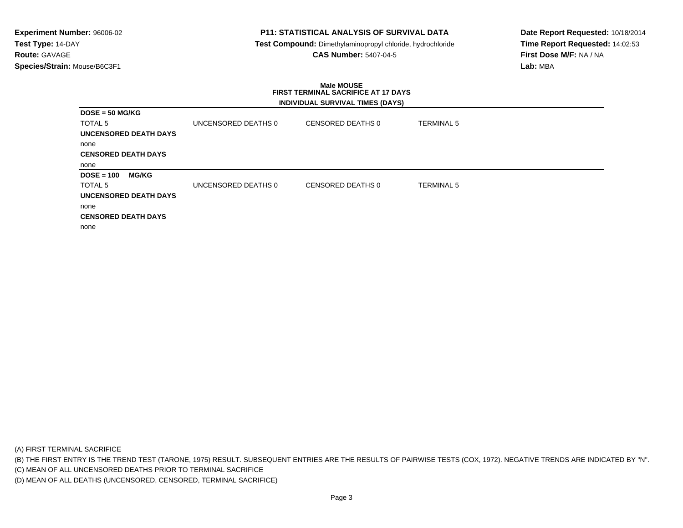## **P11: STATISTICAL ANALYSIS OF SURVIVAL DATA**

 **Test Compound:** Dimethylaminopropyl chloride, hydrochloride**CAS Number:** 5407-04-5

**Date Report Requested:** 10/18/2014**Time Report Requested:** 14:02:53**First Dose M/F:** NA / NA**Lab:** MBA

### **Male MOUSE FIRST TERMINAL SACRIFICE AT 17 DAYSINDIVIDUAL SURVIVAL TIMES (DAYS)**

|                              |                     | 111211122722211117721111122121121 |                   |  |
|------------------------------|---------------------|-----------------------------------|-------------------|--|
| $DOSE = 50 MG/KG$            |                     |                                   |                   |  |
| <b>TOTAL 5</b>               | UNCENSORED DEATHS 0 | CENSORED DEATHS 0                 | <b>TERMINAL 5</b> |  |
| <b>UNCENSORED DEATH DAYS</b> |                     |                                   |                   |  |
| none                         |                     |                                   |                   |  |
| <b>CENSORED DEATH DAYS</b>   |                     |                                   |                   |  |
| none                         |                     |                                   |                   |  |
| $DOSE = 100$<br><b>MG/KG</b> |                     |                                   |                   |  |
| <b>TOTAL 5</b>               | UNCENSORED DEATHS 0 | CENSORED DEATHS 0                 | <b>TERMINAL 5</b> |  |
| <b>UNCENSORED DEATH DAYS</b> |                     |                                   |                   |  |
| none                         |                     |                                   |                   |  |
| <b>CENSORED DEATH DAYS</b>   |                     |                                   |                   |  |
| none                         |                     |                                   |                   |  |

(A) FIRST TERMINAL SACRIFICE

(B) THE FIRST ENTRY IS THE TREND TEST (TARONE, 1975) RESULT. SUBSEQUENT ENTRIES ARE THE RESULTS OF PAIRWISE TESTS (COX, 1972). NEGATIVE TRENDS ARE INDICATED BY "N".

(C) MEAN OF ALL UNCENSORED DEATHS PRIOR TO TERMINAL SACRIFICE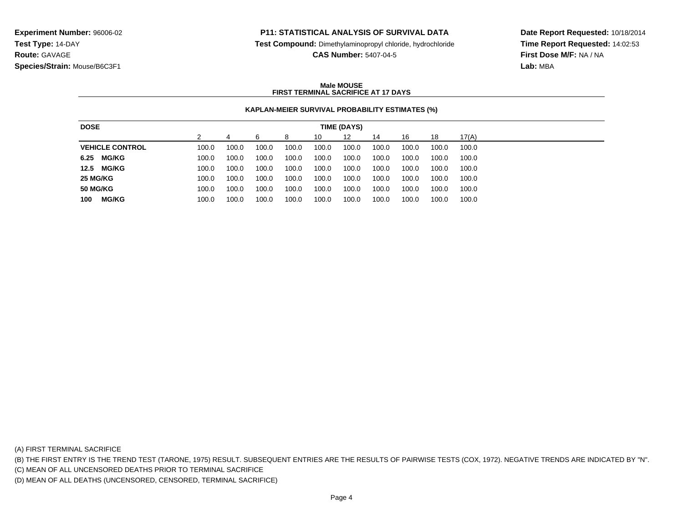### **P11: STATISTICAL ANALYSIS OF SURVIVAL DATA**

**Test Compound:** Dimethylaminopropyl chloride, hydrochloride

**CAS Number:** 5407-04-5

**Date Report Requested:** 10/18/2014**Time Report Requested:** 14:02:53**First Dose M/F:** NA / NA**Lab:** MBA

### **Male MOUSEFIRST TERMINAL SACRIFICE AT 17 DAYS**

### **KAPLAN-MEIER SURVIVAL PROBABILITY ESTIMATES (%)**

| <b>DOSE</b>            |       |       |       |       |       | TIME (DAYS) |       |       |       |       |
|------------------------|-------|-------|-------|-------|-------|-------------|-------|-------|-------|-------|
|                        |       |       | ิค    | 8     | 10    | 12          | 14    | 16    | 18    | 17(A) |
| <b>VEHICLE CONTROL</b> | 100.0 | 100.0 | 100.0 | 100.0 | 100.0 | 100.0       | 100.0 | 100.0 | 100.0 | 100.0 |
| 6.25<br><b>MG/KG</b>   | 100.0 | 100.0 | 100.0 | 100.0 | 100.0 | 100.0       | 100.0 | 100.0 | 100.0 | 100.0 |
| 12.5<br><b>MG/KG</b>   | 100.0 | 100.0 | 100.0 | 100.0 | 100.0 | 100.0       | 100.0 | 100.0 | 100.0 | 100.0 |
| 25 MG/KG               | 100.0 | 100.0 | 100.0 | 100.0 | 100.0 | 100.0       | 100.0 | 100.0 | 100.0 | 100.0 |
| <b>50 MG/KG</b>        | 100.0 | 100.0 | 100.0 | 100.0 | 100.0 | 100.0       | 100.0 | 100.0 | 100.0 | 100.0 |
| <b>MG/KG</b><br>100    | 100.0 | 100.0 | 100.0 | 100.0 | 100.0 | 100.0       | 100.0 | 100.0 | 100.0 | 100.0 |

(A) FIRST TERMINAL SACRIFICE

(B) THE FIRST ENTRY IS THE TREND TEST (TARONE, 1975) RESULT. SUBSEQUENT ENTRIES ARE THE RESULTS OF PAIRWISE TESTS (COX, 1972). NEGATIVE TRENDS ARE INDICATED BY "N".

(C) MEAN OF ALL UNCENSORED DEATHS PRIOR TO TERMINAL SACRIFICE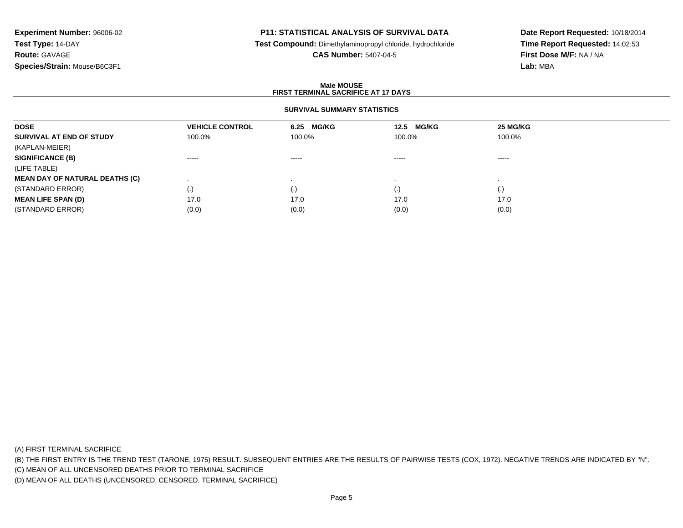## **P11: STATISTICAL ANALYSIS OF SURVIVAL DATA**

**Test Compound:** Dimethylaminopropyl chloride, hydrochloride

**CAS Number:** 5407-04-5

**Date Report Requested:** 10/18/2014**Time Report Requested:** 14:02:53**First Dose M/F:** NA / NA**Lab:** MBA

### **Male MOUSEFIRST TERMINAL SACRIFICE AT 17 DAYS**

### **SURVIVAL SUMMARY STATISTICS**

| <b>DOSE</b>                           | <b>VEHICLE CONTROL</b>                                                                                                                                                                                                                                                                                                                                                                                                                                                                 | 6.25 MG/KG                                                                                                                                                                                                                                                                                                                                                                                                                                                                             | <b>MG/KG</b><br>12.5                                                                                                                                                                                                                                                                                                                                                                                                                                                                   | 25 MG/KG           |  |
|---------------------------------------|----------------------------------------------------------------------------------------------------------------------------------------------------------------------------------------------------------------------------------------------------------------------------------------------------------------------------------------------------------------------------------------------------------------------------------------------------------------------------------------|----------------------------------------------------------------------------------------------------------------------------------------------------------------------------------------------------------------------------------------------------------------------------------------------------------------------------------------------------------------------------------------------------------------------------------------------------------------------------------------|----------------------------------------------------------------------------------------------------------------------------------------------------------------------------------------------------------------------------------------------------------------------------------------------------------------------------------------------------------------------------------------------------------------------------------------------------------------------------------------|--------------------|--|
| SURVIVAL AT END OF STUDY              | 100.0%                                                                                                                                                                                                                                                                                                                                                                                                                                                                                 | 100.0%                                                                                                                                                                                                                                                                                                                                                                                                                                                                                 | 100.0%                                                                                                                                                                                                                                                                                                                                                                                                                                                                                 | 100.0%             |  |
| (KAPLAN-MEIER)                        |                                                                                                                                                                                                                                                                                                                                                                                                                                                                                        |                                                                                                                                                                                                                                                                                                                                                                                                                                                                                        |                                                                                                                                                                                                                                                                                                                                                                                                                                                                                        |                    |  |
| <b>SIGNIFICANCE (B)</b>               | $\begin{array}{cccccccccccccc} \multicolumn{2}{c}{} & \multicolumn{2}{c}{} & \multicolumn{2}{c}{} & \multicolumn{2}{c}{} & \multicolumn{2}{c}{} & \multicolumn{2}{c}{} & \multicolumn{2}{c}{} & \multicolumn{2}{c}{} & \multicolumn{2}{c}{} & \multicolumn{2}{c}{} & \multicolumn{2}{c}{} & \multicolumn{2}{c}{} & \multicolumn{2}{c}{} & \multicolumn{2}{c}{} & \multicolumn{2}{c}{} & \multicolumn{2}{c}{} & \multicolumn{2}{c}{} & \multicolumn{2}{c}{} & \multicolumn{2}{c}{} & \$ | $\begin{array}{cccccccccccccc} \multicolumn{2}{c}{} & \multicolumn{2}{c}{} & \multicolumn{2}{c}{} & \multicolumn{2}{c}{} & \multicolumn{2}{c}{} & \multicolumn{2}{c}{} & \multicolumn{2}{c}{} & \multicolumn{2}{c}{} & \multicolumn{2}{c}{} & \multicolumn{2}{c}{} & \multicolumn{2}{c}{} & \multicolumn{2}{c}{} & \multicolumn{2}{c}{} & \multicolumn{2}{c}{} & \multicolumn{2}{c}{} & \multicolumn{2}{c}{} & \multicolumn{2}{c}{} & \multicolumn{2}{c}{} & \multicolumn{2}{c}{} & \$ | $\begin{array}{cccccccccccccc} \multicolumn{2}{c}{} & \multicolumn{2}{c}{} & \multicolumn{2}{c}{} & \multicolumn{2}{c}{} & \multicolumn{2}{c}{} & \multicolumn{2}{c}{} & \multicolumn{2}{c}{} & \multicolumn{2}{c}{} & \multicolumn{2}{c}{} & \multicolumn{2}{c}{} & \multicolumn{2}{c}{} & \multicolumn{2}{c}{} & \multicolumn{2}{c}{} & \multicolumn{2}{c}{} & \multicolumn{2}{c}{} & \multicolumn{2}{c}{} & \multicolumn{2}{c}{} & \multicolumn{2}{c}{} & \multicolumn{2}{c}{} & \$ | -----              |  |
| (LIFE TABLE)                          |                                                                                                                                                                                                                                                                                                                                                                                                                                                                                        |                                                                                                                                                                                                                                                                                                                                                                                                                                                                                        |                                                                                                                                                                                                                                                                                                                                                                                                                                                                                        |                    |  |
| <b>MEAN DAY OF NATURAL DEATHS (C)</b> |                                                                                                                                                                                                                                                                                                                                                                                                                                                                                        |                                                                                                                                                                                                                                                                                                                                                                                                                                                                                        |                                                                                                                                                                                                                                                                                                                                                                                                                                                                                        |                    |  |
| (STANDARD ERROR)                      | $\cdot$                                                                                                                                                                                                                                                                                                                                                                                                                                                                                | $\cdot$ .                                                                                                                                                                                                                                                                                                                                                                                                                                                                              | (.)                                                                                                                                                                                                                                                                                                                                                                                                                                                                                    | $\left( . \right)$ |  |
| <b>MEAN LIFE SPAN (D)</b>             | 17.0                                                                                                                                                                                                                                                                                                                                                                                                                                                                                   | 17.0                                                                                                                                                                                                                                                                                                                                                                                                                                                                                   | 17.0                                                                                                                                                                                                                                                                                                                                                                                                                                                                                   | 17.0               |  |
| (STANDARD ERROR)                      | (0.0)                                                                                                                                                                                                                                                                                                                                                                                                                                                                                  | (0.0)                                                                                                                                                                                                                                                                                                                                                                                                                                                                                  | (0.0)                                                                                                                                                                                                                                                                                                                                                                                                                                                                                  | (0.0)              |  |

(A) FIRST TERMINAL SACRIFICE

(B) THE FIRST ENTRY IS THE TREND TEST (TARONE, 1975) RESULT. SUBSEQUENT ENTRIES ARE THE RESULTS OF PAIRWISE TESTS (COX, 1972). NEGATIVE TRENDS ARE INDICATED BY "N".

(C) MEAN OF ALL UNCENSORED DEATHS PRIOR TO TERMINAL SACRIFICE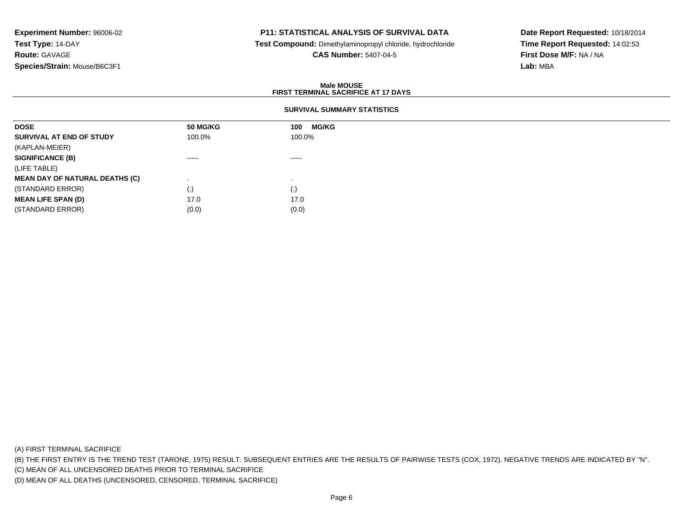## **P11: STATISTICAL ANALYSIS OF SURVIVAL DATA**

 **Test Compound:** Dimethylaminopropyl chloride, hydrochloride**CAS Number:** 5407-04-5

**Date Report Requested:** 10/18/2014**Time Report Requested:** 14:02:53**First Dose M/F:** NA / NA**Lab:** MBA

### **Male MOUSEFIRST TERMINAL SACRIFICE AT 17 DAYS**

## **SURVIVAL SUMMARY STATISTICS**

| <b>50 MG/KG</b> | <b>MG/KG</b><br>100 |
|-----------------|---------------------|
| 100.0%          | 100.0%              |
|                 |                     |
| $\cdots$        | -----               |
|                 |                     |
|                 |                     |
| (.)             | (.)                 |
| 17.0            | 17.0                |
| (0.0)           | (0.0)               |
|                 |                     |

(A) FIRST TERMINAL SACRIFICE

(B) THE FIRST ENTRY IS THE TREND TEST (TARONE, 1975) RESULT. SUBSEQUENT ENTRIES ARE THE RESULTS OF PAIRWISE TESTS (COX, 1972). NEGATIVE TRENDS ARE INDICATED BY "N".

(C) MEAN OF ALL UNCENSORED DEATHS PRIOR TO TERMINAL SACRIFICE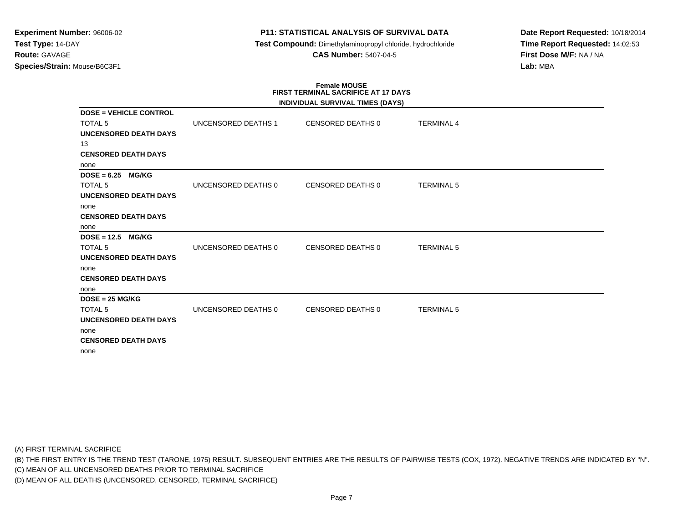## **P11: STATISTICAL ANALYSIS OF SURVIVAL DATA**

 **Test Compound:** Dimethylaminopropyl chloride, hydrochloride**CAS Number:** 5407-04-5

**Date Report Requested:** 10/18/2014**Time Report Requested:** 14:02:53**First Dose M/F:** NA / NA**Lab:** MBA

# **Female MOUSE FIRST TERMINAL SACRIFICE AT 17 DAYS**

|                               |                     | <b>INDIVIDUAL SURVIVAL TIMES (DAYS)</b> |                   |  |
|-------------------------------|---------------------|-----------------------------------------|-------------------|--|
| <b>DOSE = VEHICLE CONTROL</b> |                     |                                         |                   |  |
| <b>TOTAL 5</b>                | UNCENSORED DEATHS 1 | CENSORED DEATHS 0                       | <b>TERMINAL 4</b> |  |
| <b>UNCENSORED DEATH DAYS</b>  |                     |                                         |                   |  |
| 13                            |                     |                                         |                   |  |
| <b>CENSORED DEATH DAYS</b>    |                     |                                         |                   |  |
| none                          |                     |                                         |                   |  |
| $DOSE = 6.25$<br><b>MG/KG</b> |                     |                                         |                   |  |
| <b>TOTAL 5</b>                | UNCENSORED DEATHS 0 | CENSORED DEATHS 0                       | <b>TERMINAL 5</b> |  |
| <b>UNCENSORED DEATH DAYS</b>  |                     |                                         |                   |  |
| none                          |                     |                                         |                   |  |
| <b>CENSORED DEATH DAYS</b>    |                     |                                         |                   |  |
| none                          |                     |                                         |                   |  |
| $DOSE = 12.5$<br><b>MG/KG</b> |                     |                                         |                   |  |
| <b>TOTAL 5</b>                | UNCENSORED DEATHS 0 | <b>CENSORED DEATHS 0</b>                | <b>TERMINAL 5</b> |  |
| <b>UNCENSORED DEATH DAYS</b>  |                     |                                         |                   |  |
| none                          |                     |                                         |                   |  |
| <b>CENSORED DEATH DAYS</b>    |                     |                                         |                   |  |
| none                          |                     |                                         |                   |  |
| $DOSE = 25 MG/KG$             |                     |                                         |                   |  |
| TOTAL <sub>5</sub>            | UNCENSORED DEATHS 0 | <b>CENSORED DEATHS 0</b>                | <b>TERMINAL 5</b> |  |
| <b>UNCENSORED DEATH DAYS</b>  |                     |                                         |                   |  |
| none                          |                     |                                         |                   |  |
| <b>CENSORED DEATH DAYS</b>    |                     |                                         |                   |  |
| none                          |                     |                                         |                   |  |

(A) FIRST TERMINAL SACRIFICE

(B) THE FIRST ENTRY IS THE TREND TEST (TARONE, 1975) RESULT. SUBSEQUENT ENTRIES ARE THE RESULTS OF PAIRWISE TESTS (COX, 1972). NEGATIVE TRENDS ARE INDICATED BY "N".

(C) MEAN OF ALL UNCENSORED DEATHS PRIOR TO TERMINAL SACRIFICE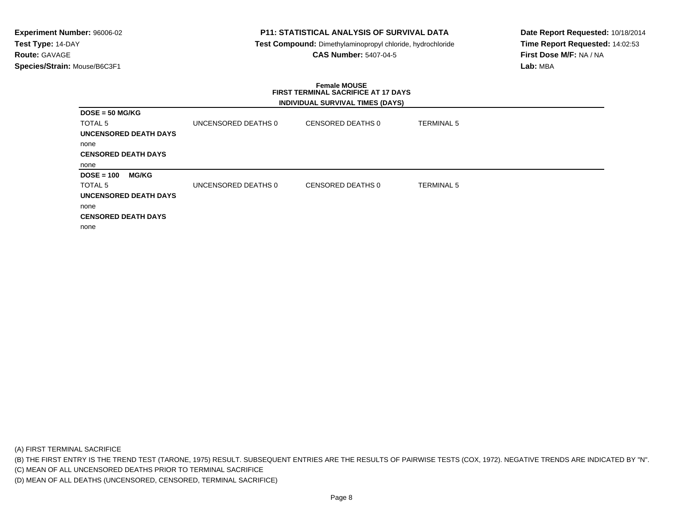## **P11: STATISTICAL ANALYSIS OF SURVIVAL DATA**

 **Test Compound:** Dimethylaminopropyl chloride, hydrochloride**CAS Number:** 5407-04-5

**Date Report Requested:** 10/18/2014**Time Report Requested:** 14:02:53**First Dose M/F:** NA / NA**Lab:** MBA

### **Female MOUSE FIRST TERMINAL SACRIFICE AT 17 DAYSINDIVIDUAL SURVIVAL TIMES (DAYS)**

|                              |                     | <b>INDIVIDUAL OURVIVAL TIMES (DATU)</b> |                   |  |
|------------------------------|---------------------|-----------------------------------------|-------------------|--|
| $DOSE = 50 MGIKG$            |                     |                                         |                   |  |
| TOTAL 5                      | UNCENSORED DEATHS 0 | CENSORED DEATHS 0                       | TERMINAL 5        |  |
| UNCENSORED DEATH DAYS        |                     |                                         |                   |  |
| none                         |                     |                                         |                   |  |
| <b>CENSORED DEATH DAYS</b>   |                     |                                         |                   |  |
| none                         |                     |                                         |                   |  |
| $DOSE = 100$<br><b>MG/KG</b> |                     |                                         |                   |  |
| <b>TOTAL 5</b>               | UNCENSORED DEATHS 0 | CENSORED DEATHS 0                       | <b>TERMINAL 5</b> |  |
| <b>UNCENSORED DEATH DAYS</b> |                     |                                         |                   |  |
| none                         |                     |                                         |                   |  |
| <b>CENSORED DEATH DAYS</b>   |                     |                                         |                   |  |
| none                         |                     |                                         |                   |  |

(A) FIRST TERMINAL SACRIFICE

(B) THE FIRST ENTRY IS THE TREND TEST (TARONE, 1975) RESULT. SUBSEQUENT ENTRIES ARE THE RESULTS OF PAIRWISE TESTS (COX, 1972). NEGATIVE TRENDS ARE INDICATED BY "N".

(C) MEAN OF ALL UNCENSORED DEATHS PRIOR TO TERMINAL SACRIFICE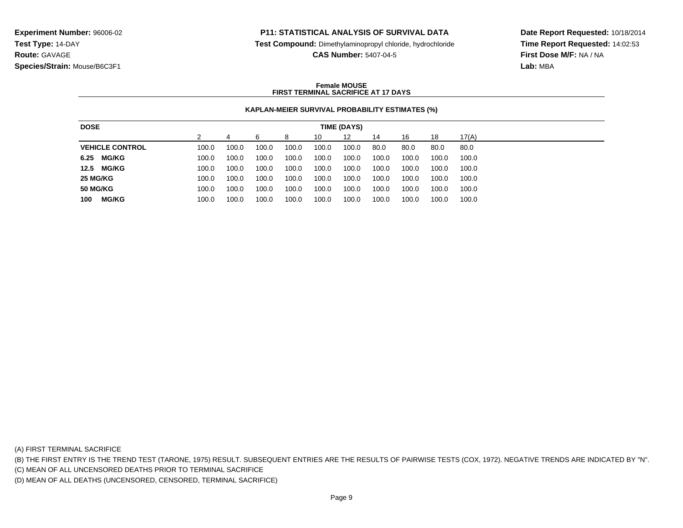### **P11: STATISTICAL ANALYSIS OF SURVIVAL DATA**

**Test Compound:** Dimethylaminopropyl chloride, hydrochloride

**CAS Number:** 5407-04-5

**Date Report Requested:** 10/18/2014**Time Report Requested:** 14:02:53**First Dose M/F:** NA / NA**Lab:** MBA

### **Female MOUSEFIRST TERMINAL SACRIFICE AT 17 DAYS**

### **KAPLAN-MEIER SURVIVAL PROBABILITY ESTIMATES (%)**

| <b>DOSE</b>            |       |       |       |       |       | TIME (DAYS) |       |       |       |       |
|------------------------|-------|-------|-------|-------|-------|-------------|-------|-------|-------|-------|
|                        |       |       |       | 8     | 10    | 12          | 14    | 16    | 18    | 17(A) |
| <b>VEHICLE CONTROL</b> | 100.0 | 100.0 | 100.0 | 100.0 | 100.0 | 100.0       | 80.0  | 80.0  | 80.0  | 80.0  |
| <b>MG/KG</b><br>6.25   | 100.0 | 100.0 | 100.0 | 100.0 | 100.0 | 100.0       | 100.0 | 100.0 | 100.0 | 100.0 |
| <b>MG/KG</b><br>12.5   | 100.0 | 100.0 | 100.0 | 100.0 | 100.0 | 100.0       | 100.0 | 100.0 | 100.0 | 100.0 |
| 25 MG/KG               | 100.0 | 100.0 | 100.0 | 100.0 | 100.0 | 100.0       | 100.0 | 100.0 | 100.0 | 100.0 |
| <b>50 MG/KG</b>        | 100.0 | 100.0 | 100.0 | 100.0 | 100.0 | 100.0       | 100.0 | 100.0 | 100.0 | 100.0 |
| <b>MG/KG</b><br>100    | 100.0 | 100.0 | 100.0 | 100.0 | 100.0 | 100.0       | 100.0 | 100.0 | 100.0 | 100.0 |

(A) FIRST TERMINAL SACRIFICE

(B) THE FIRST ENTRY IS THE TREND TEST (TARONE, 1975) RESULT. SUBSEQUENT ENTRIES ARE THE RESULTS OF PAIRWISE TESTS (COX, 1972). NEGATIVE TRENDS ARE INDICATED BY "N".

(C) MEAN OF ALL UNCENSORED DEATHS PRIOR TO TERMINAL SACRIFICE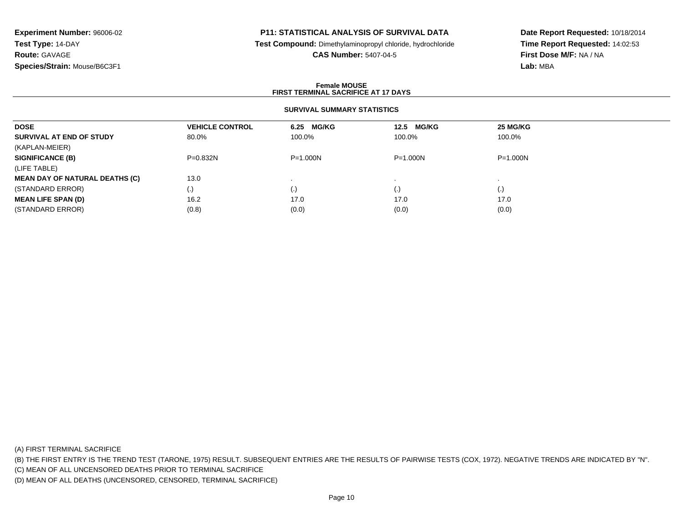## **P11: STATISTICAL ANALYSIS OF SURVIVAL DATA**

**Test Compound:** Dimethylaminopropyl chloride, hydrochloride

**CAS Number:** 5407-04-5

**Date Report Requested:** 10/18/2014**Time Report Requested:** 14:02:53**First Dose M/F:** NA / NA**Lab:** MBA

### **Female MOUSEFIRST TERMINAL SACRIFICE AT 17 DAYS**

### **SURVIVAL SUMMARY STATISTICS**

| <b>DOSE</b>                           | <b>VEHICLE CONTROL</b> | 6.25 MG/KG   | <b>MG/KG</b><br>12.5 | <b>25 MG/KG</b> |
|---------------------------------------|------------------------|--------------|----------------------|-----------------|
| SURVIVAL AT END OF STUDY              | 80.0%                  | 100.0%       | 100.0%               | 100.0%          |
| (KAPLAN-MEIER)                        |                        |              |                      |                 |
| <b>SIGNIFICANCE (B)</b>               | $P=0.832N$             | $P = 1.000N$ | $P = 1.000N$         | $P = 1.000N$    |
| (LIFE TABLE)                          |                        |              |                      |                 |
| <b>MEAN DAY OF NATURAL DEATHS (C)</b> | 13.0                   |              |                      |                 |
| (STANDARD ERROR)                      | (.)                    | $\cdot$      | $\left( . \right)$   | (.)             |
| <b>MEAN LIFE SPAN (D)</b>             | 16.2                   | 17.0         | 17.0                 | 17.0            |
| (STANDARD ERROR)                      | (0.8)                  | (0.0)        | (0.0)                | (0.0)           |

(A) FIRST TERMINAL SACRIFICE

(B) THE FIRST ENTRY IS THE TREND TEST (TARONE, 1975) RESULT. SUBSEQUENT ENTRIES ARE THE RESULTS OF PAIRWISE TESTS (COX, 1972). NEGATIVE TRENDS ARE INDICATED BY "N".

(C) MEAN OF ALL UNCENSORED DEATHS PRIOR TO TERMINAL SACRIFICE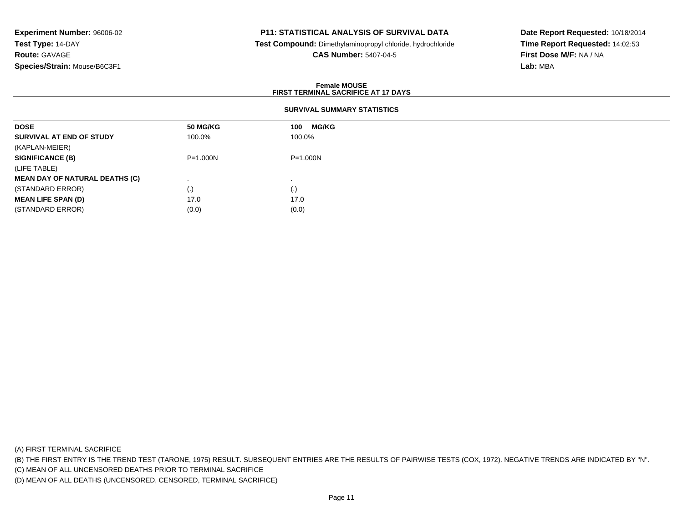## **P11: STATISTICAL ANALYSIS OF SURVIVAL DATA**

 **Test Compound:** Dimethylaminopropyl chloride, hydrochloride**CAS Number:** 5407-04-5

**Date Report Requested:** 10/18/2014**Time Report Requested:** 14:02:53**First Dose M/F:** NA / NA**Lab:** MBA

### **Female MOUSEFIRST TERMINAL SACRIFICE AT 17 DAYS**

### **SURVIVAL SUMMARY STATISTICS**

| <b>50 MG/KG</b> | <b>MG/KG</b><br>100 |
|-----------------|---------------------|
| 100.0%          | 100.0%              |
|                 |                     |
| $P = 1.000N$    | P=1.000N            |
|                 |                     |
|                 |                     |
| $\cdot$         | (.)                 |
| 17.0            | 17.0                |
| (0.0)           | (0.0)               |
|                 |                     |

(A) FIRST TERMINAL SACRIFICE

(B) THE FIRST ENTRY IS THE TREND TEST (TARONE, 1975) RESULT. SUBSEQUENT ENTRIES ARE THE RESULTS OF PAIRWISE TESTS (COX, 1972). NEGATIVE TRENDS ARE INDICATED BY "N".

(C) MEAN OF ALL UNCENSORED DEATHS PRIOR TO TERMINAL SACRIFICE